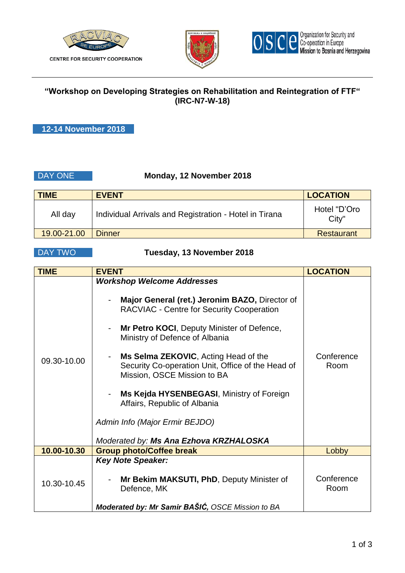



## **"Workshop on Developing Strategies on Rehabilitation and Reintegration of FTF" (IRC-N7-W-18)**

**12-14 November 2018**

### DAY ONE **Monday, 12 November 2018**

| <b>TIME</b> | <b>EVENT</b>                                           | <b>LOCATION</b>       |
|-------------|--------------------------------------------------------|-----------------------|
| All day     | Individual Arrivals and Registration - Hotel in Tirana | Hotel "D'Oro<br>City" |
| 19.00-21.00 | Dinner                                                 | <b>Restaurant</b>     |

### DAY TWO **Tuesday, 13 November 2018**

| <b>TIME</b> | <b>EVENT</b>                                                                                                                                                                                                                                                                                                                                                                                                                                                                                                 | <b>LOCATION</b>    |
|-------------|--------------------------------------------------------------------------------------------------------------------------------------------------------------------------------------------------------------------------------------------------------------------------------------------------------------------------------------------------------------------------------------------------------------------------------------------------------------------------------------------------------------|--------------------|
| 09.30-10.00 | <b>Workshop Welcome Addresses</b><br>Major General (ret.) Jeronim BAZO, Director of<br><b>RACVIAC - Centre for Security Cooperation</b><br>Mr Petro KOCI, Deputy Minister of Defence,<br>Ministry of Defence of Albania<br>Ms Selma ZEKOVIC, Acting Head of the<br>Security Co-operation Unit, Office of the Head of<br>Mission, OSCE Mission to BA<br>Ms Kejda HYSENBEGASI, Ministry of Foreign<br>Affairs, Republic of Albania<br>Admin Info (Major Ermir BEJDO)<br>Moderated by: Ms Ana Ezhova KRZHALOSKA | Conference<br>Room |
| 10.00-10.30 | <b>Group photo/Coffee break</b>                                                                                                                                                                                                                                                                                                                                                                                                                                                                              | Lobby              |
| 10.30-10.45 | <b>Key Note Speaker:</b><br>Mr Bekim MAKSUTI, PhD, Deputy Minister of<br>Defence, MK<br>Moderated by: Mr Samir BAŠIĆ, OSCE Mission to BA                                                                                                                                                                                                                                                                                                                                                                     | Conference<br>Room |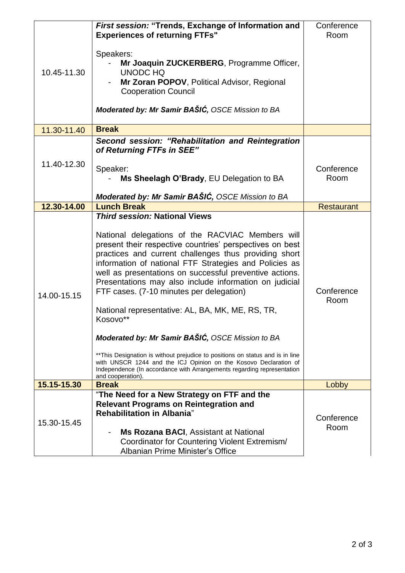| 10.45-11.30 | First session: "Trends, Exchange of Information and<br><b>Experiences of returning FTFs"</b>                                                                                                                                                                                                                                                                                                                                                                                                                                                                                                                                                                                                                                                                                                                      | Conference<br>Room |
|-------------|-------------------------------------------------------------------------------------------------------------------------------------------------------------------------------------------------------------------------------------------------------------------------------------------------------------------------------------------------------------------------------------------------------------------------------------------------------------------------------------------------------------------------------------------------------------------------------------------------------------------------------------------------------------------------------------------------------------------------------------------------------------------------------------------------------------------|--------------------|
|             | Speakers:<br>Mr Joaquin ZUCKERBERG, Programme Officer,                                                                                                                                                                                                                                                                                                                                                                                                                                                                                                                                                                                                                                                                                                                                                            |                    |
|             | <b>UNODC HQ</b><br>Mr Zoran POPOV, Political Advisor, Regional<br><b>Cooperation Council</b>                                                                                                                                                                                                                                                                                                                                                                                                                                                                                                                                                                                                                                                                                                                      |                    |
|             | Moderated by: Mr Samir BAŠIĆ, OSCE Mission to BA                                                                                                                                                                                                                                                                                                                                                                                                                                                                                                                                                                                                                                                                                                                                                                  |                    |
| 11.30-11.40 | <b>Break</b>                                                                                                                                                                                                                                                                                                                                                                                                                                                                                                                                                                                                                                                                                                                                                                                                      |                    |
| 11.40-12.30 | Second session: "Rehabilitation and Reintegration<br>of Returning FTFs in SEE"                                                                                                                                                                                                                                                                                                                                                                                                                                                                                                                                                                                                                                                                                                                                    |                    |
|             | Speaker:<br>Ms Sheelagh O'Brady, EU Delegation to BA                                                                                                                                                                                                                                                                                                                                                                                                                                                                                                                                                                                                                                                                                                                                                              | Conference<br>Room |
|             | Moderated by: Mr Samir BAŠIĆ, OSCE Mission to BA                                                                                                                                                                                                                                                                                                                                                                                                                                                                                                                                                                                                                                                                                                                                                                  |                    |
| 12.30-14.00 | <b>Lunch Break</b>                                                                                                                                                                                                                                                                                                                                                                                                                                                                                                                                                                                                                                                                                                                                                                                                | <b>Restaurant</b>  |
| 14.00-15.15 | <b>Third session: National Views</b><br>National delegations of the RACVIAC Members will<br>present their respective countries' perspectives on best<br>practices and current challenges thus providing short<br>information of national FTF Strategies and Policies as<br>well as presentations on successful preventive actions.<br>Presentations may also include information on judicial<br>FTF cases. (7-10 minutes per delegation)<br>National representative: AL, BA, MK, ME, RS, TR,<br>Kosovo**<br>Moderated by: Mr Samir BAŠIĆ, OSCE Mission to BA<br>** This Designation is without prejudice to positions on status and is in line<br>with UNSCR 1244 and the ICJ Opinion on the Kosovo Declaration of<br>Independence (In accordance with Arrangements regarding representation<br>and cooperation). | Conference<br>Room |
| 15.15-15.30 | <b>Break</b>                                                                                                                                                                                                                                                                                                                                                                                                                                                                                                                                                                                                                                                                                                                                                                                                      | Lobby              |
| 15.30-15.45 | "The Need for a New Strategy on FTF and the<br><b>Relevant Programs on Reintegration and</b><br><b>Rehabilitation in Albania</b> "<br><b>Ms Rozana BACI, Assistant at National</b><br>Coordinator for Countering Violent Extremism/                                                                                                                                                                                                                                                                                                                                                                                                                                                                                                                                                                               | Conference<br>Room |
|             | Albanian Prime Minister's Office                                                                                                                                                                                                                                                                                                                                                                                                                                                                                                                                                                                                                                                                                                                                                                                  |                    |